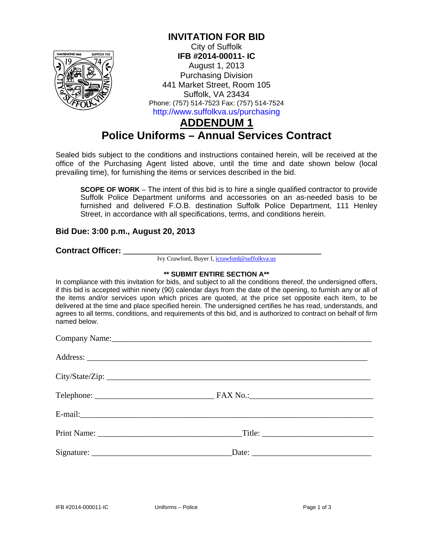

### **INVITATION FOR BID**

City of Suffolk **IFB #2014-00011- IC**  August 1, 2013 Purchasing Division 441 Market Street, Room 105 Suffolk, VA 23434 Phone: (757) 514-7523 Fax: (757) 514-7524 http://www.suffolkva.us/purchasing

# **ADDENDUM 1 Police Uniforms – Annual Services Contract**

Sealed bids subject to the conditions and instructions contained herein, will be received at the office of the Purchasing Agent listed above, until the time and date shown below (local prevailing time), for furnishing the items or services described in the bid.

**SCOPE OF WORK** – The intent of this bid is to hire a single qualified contractor to provide Suffolk Police Department uniforms and accessories on an as-needed basis to be furnished and delivered F.O.B. destination Suffolk Police Department, 111 Henley Street, in accordance with all specifications, terms, and conditions herein.

### **Bid Due: 3:00 p.m., August 20, 2013**

**Contract Officer: \_\_\_\_\_\_\_\_\_\_\_\_\_\_\_\_\_\_\_\_\_\_\_\_\_\_\_\_\_\_\_\_\_\_\_\_\_\_\_\_\_\_\_\_\_\_\_\_**

Ivy Crawford, Buyer I, icrawford@suffolkva.us

#### **\*\* SUBMIT ENTIRE SECTION A\*\***

In compliance with this invitation for bids, and subject to all the conditions thereof, the undersigned offers, if this bid is accepted within ninety (90) calendar days from the date of the opening, to furnish any or all of the items and/or services upon which prices are quoted, at the price set opposite each item, to be delivered at the time and place specified herein. The undersigned certifies he has read, understands, and agrees to all terms, conditions, and requirements of this bid, and is authorized to contract on behalf of firm named below.